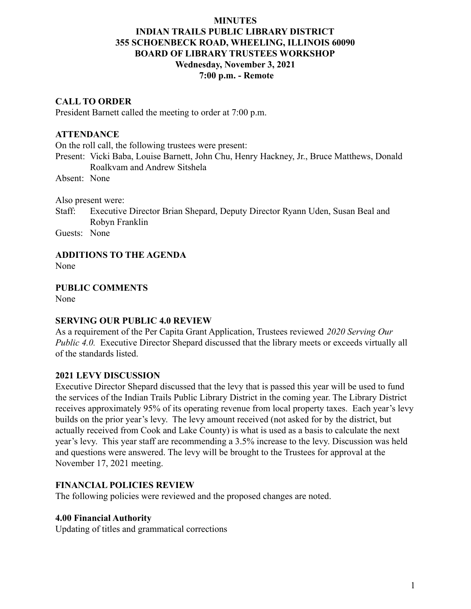### **MINUTES INDIAN TRAILS PUBLIC LIBRARY DISTRICT 355 SCHOENBECK ROAD, WHEELING, ILLINOIS 60090 BOARD OF LIBRARY TRUSTEES WORKSHOP Wednesday, November 3, 2021 7:00 p.m. - Remote**

### **CALL TO ORDER**

President Barnett called the meeting to order at 7:00 p.m.

#### **ATTENDANCE**

On the roll call, the following trustees were present:

Present: Vicki Baba, Louise Barnett, John Chu, Henry Hackney, Jr., Bruce Matthews, Donald Roalkvam and Andrew Sitshela

Absent: None

Also present were:

Staff: Executive Director Brian Shepard, Deputy Director Ryann Uden, Susan Beal and Robyn Franklin

Guests: None

### **ADDITIONS TO THE AGENDA**

None

**PUBLIC COMMENTS**

None

#### **SERVING OUR PUBLIC 4.0 REVIEW**

As a requirement of the Per Capita Grant Application, Trustees reviewed *2020 Serving Our Public 4.0.* Executive Director Shepard discussed that the library meets or exceeds virtually all of the standards listed.

#### **2021 LEVY DISCUSSION**

Executive Director Shepard discussed that the levy that is passed this year will be used to fund the services of the Indian Trails Public Library District in the coming year. The Library District receives approximately 95% of its operating revenue from local property taxes. Each year's levy builds on the prior year's levy. The levy amount received (not asked for by the district, but actually received from Cook and Lake County) is what is used as a basis to calculate the next year's levy. This year staff are recommending a 3.5% increase to the levy. Discussion was held and questions were answered. The levy will be brought to the Trustees for approval at the November 17, 2021 meeting.

#### **FINANCIAL POLICIES REVIEW**

The following policies were reviewed and the proposed changes are noted.

#### **4.00 Financial Authority**

Updating of titles and grammatical corrections